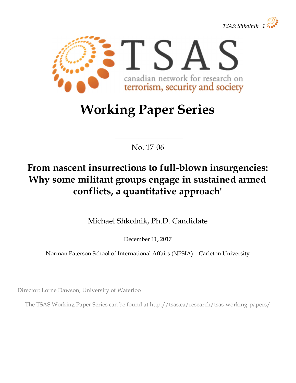



# Working Paper Series

No. 17-06

 $\mathcal{L}_\text{max}$ 

# From nascent insurrections to full-blown insurgencies: Why some militant groups engage in sustained armed conflicts, a quantitative approach'

Michael Shkolnik, Ph.D. Candidate

December 11, 2017

Norman Paterson School of International Affairs (NPSIA) – Carleton University

Director: Lorne Dawson, University of Waterloo

The TSAS Working Paper Series can be found at http://tsas.ca/research/tsas-working-papers/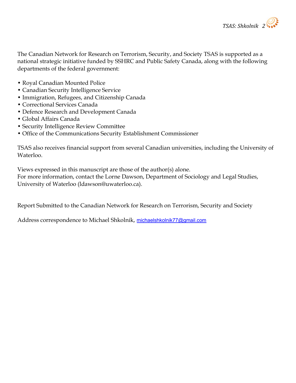

The Canadian Network for Research on Terrorism, Security, and Society TSAS is supported as a national strategic initiative funded by SSHRC and Public Safety Canada, along with the following departments of the federal government:

- Royal Canadian Mounted Police
- Canadian Security Intelligence Service
- Immigration, Refugees, and Citizenship Canada
- Correctional Services Canada
- Defence Research and Development Canada
- Global Affairs Canada
- Security Intelligence Review Committee
- Office of the Communications Security Establishment Commissioner

TSAS also receives financial support from several Canadian universities, including the University of Waterloo.

Views expressed in this manuscript are those of the author(s) alone.

For more information, contact the Lorne Dawson, Department of Sociology and Legal Studies, University of Waterloo (ldawson@uwaterloo.ca).

Report Submitted to the Canadian Network for Research on Terrorism, Security and Society

Address correspondence to Michael Shkolnik, michaelshkolnik77@gmail.com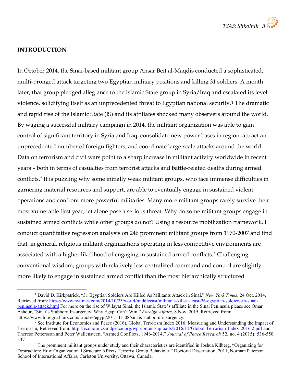

#### INTRODUCTION

l

In October 2014, the Sinai-based militant group Ansar Beit al-Maqdis conducted a sophisticated, multi-pronged attack targeting two Egyptian military positions and killing 31 soldiers. A month later, that group pledged allegiance to the Islamic State group in Syria/Iraq and escalated its level violence, solidifying itself as an unprecedented threat to Egyptian national security.1 The dramatic and rapid rise of the Islamic State (IS) and its affiliates shocked many observers around the world. By waging a successful military campaign in 2014, the militant organization was able to gain control of significant territory in Syria and Iraq, consolidate new power bases in region, attract an unprecedented number of foreign fighters, and coordinate large-scale attacks around the world. Data on terrorism and civil wars point to a sharp increase in militant activity worldwide in recent years – both in terms of casualties from terrorist attacks and battle-related deaths during armed conflicts.2 It is puzzling why some initially weak militant groups, who face immense difficulties in garnering material resources and support, are able to eventually engage in sustained violent operations and confront more powerful militaries. Many more militant groups rarely survive their most vulnerable first year, let alone pose a serious threat. Why do some militant groups engage in sustained armed conflicts while other groups do not? Using a resource mobilization framework, I conduct quantitative regression analysis on 246 prominent militant groups from 1970-2007 and find that, in general, religious militant organizations operating in less competitive environments are associated with a higher likelihood of engaging in sustained armed conflicts.3 Challenging conventional wisdom, groups with relatively less centralized command and control are slightly more likely to engage in sustained armed conflict than the most hierarchically structured

<sup>&</sup>lt;sup>1</sup> David D. Kirkpatrick, "31 Egyptian Soldiers Are Killed As Militants Attack in Sinai," New York Times, 24 Oct. 2014, Retrieved from: https://www.nytimes.com/2014/10/25/world/middleeast/militants-kill-at-least-26-egyptian-soldiers-in-sinaipeninsula-attack.html For more on the rise of Wilayat Sinai, the Islamic State's affiliate in the Sinai Peninsula please see Omar Ashour, "Sinai's Stubborn Insurgency: Why Egypt Can't Win," Foreign Affairs, 8 Nov. 2015, Retrieved from: https://www.foreignaffairs.com/articles/egypt/2015-11-08/sinais-stubborn-insurgency.

<sup>&</sup>lt;sup>2</sup> See Institute for Economics and Peace (2016), Global Terrorism Index 2016: Measuring and Understanding the Impact of Terrorism, Retrieved from: http://economicsandpeace.org/wp-content/uploads/2016/11/Global-Terrorism-Index-2016.2.pdf and Therése Pettersson and Peter Wallensteen, "Armed Conflicts, 1946-2014," Journal of Peace Research 52, no. 4 (2015): 536-550, 537.

<sup>&</sup>lt;sup>3</sup> The prominent militant groups under study and their characteristics are identified in Joshua Kilberg, "Organizing for Destruction: How Organizational Structure Affects Terrorist Group Behaviour," Doctoral Dissertation, 2011, Norman Paterson School of International Affairs, Carleton University, Ottawa, Canada.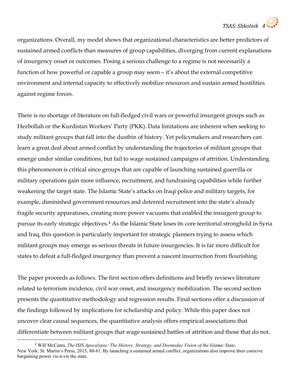organizations. Overall, my model shows that organizational characteristics are better predictors of sustained armed conflicts than measures of group capabilities, diverging from current explanations of insurgency onset or outcomes. Posing a serious challenge to a regime is not necessarily a function of how powerful or capable a group may seem – it's about the external competitive environment and internal capacity to effectively mobilize resources and sustain armed hostilities against regime forces.

There is no shortage of literature on full-fledged civil wars or powerful insurgent groups such as Hezbollah or the Kurdistan Workers' Party (PKK). Data limitations are inherent when seeking to study militant groups that fall into the dustbin of history. Yet policymakers and researchers can learn a great deal about armed conflict by understanding the trajectories of militant groups that emerge under similar conditions, but fail to wage sustained campaigns of attrition. Understanding this phenomenon is critical since groups that are capable of launching sustained guerrilla or military operations gain more influence, recruitment, and fundraising capabilities while further weakening the target state. The Islamic State's attacks on Iraqi police and military targets, for example, diminished government resources and deterred recruitment into the state's already fragile security apparatuses, creating more power vacuums that enabled the insurgent group to pursue its early strategic objectives.4 As the Islamic State loses its core territorial stronghold in Syria and Iraq, this question is particularly important for strategic planners trying to assess which militant groups may emerge as serious threats in future insurgencies. It is far more difficult for states to defeat a full-fledged insurgency than prevent a nascent insurrection from flourishing.

The paper proceeds as follows. The first section offers definitions and briefly reviews literature related to terrorism incidence, civil war onset, and insurgency mobilization. The second section presents the quantitative methodology and regression results. Final sections offer a discussion of the findings followed by implications for scholarship and policy. While this paper does not uncover clear causal sequences, the quantitative analysis offers empirical associations that differentiate between militant groups that wage sustained battles of attrition and those that do not.

<sup>4</sup> Will McCants, The ISIS Apocalypse: The History, Strategy, and Doomsday Vision of the Islamic State, New York: St. Martin's Press, 2015, 80-81. By launching a sustained armed conflict, organizations also improve their coercive bargaining power vis-à-vis the state.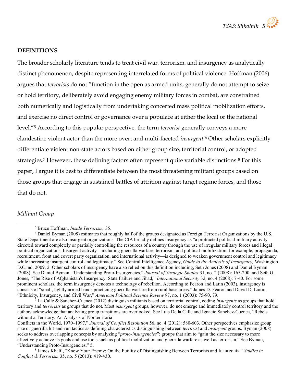

#### DEFINITIONS

The broader scholarly literature tends to treat civil war, terrorism, and insurgency as analytically distinct phenomenon, despite representing interrelated forms of political violence. Hoffman (2006) argues that *terrorists* do not "function in the open as armed units, generally do not attempt to seize or hold territory, deliberately avoid engaging enemy military forces in combat, are constrained both numerically and logistically from undertaking concerted mass political mobilization efforts, and exercise no direct control or governance over a populace at either the local or the national level."5 According to this popular perspective, the term terrorist generally conveys a more clandestine violent actor than the more overt and multi-faceted insurgent.<sup>6</sup> Other scholars explicitly differentiate violent non-state actors based on either group size, territorial control, or adopted strategies.<sup>7</sup> However, these defining factors often represent quite variable distinctions.<sup>8</sup> For this paper, I argue it is best to differentiate between the most threatening militant groups based on those groups that engage in sustained battles of attrition against target regime forces, and those that do not.

#### Militant Group

<sup>5</sup> Bruce Hoffman, Inside Terrorism, 35.

<sup>6</sup> Daniel Byman (2008) estimates that roughly half of the groups designated as Foreign Terrorist Organizations by the U.S. State Department are also insurgent organizations. The CIA broadly defines insurgency as "a protracted political-military activity directed toward completely or partially controlling the resources of a country through the use of irregular military forces and illegal political organizations. Insurgent activity—including guerrilla warfare, terrorism, and political mobilization, for example, propaganda, recruitment, front and covert party organization, and international activity—is designed to weaken government control and legitimacy while increasing insurgent control and legitimacy." See Central Intelligence Agency, Guide to the Analysis of Insurgency, Washington D.C. nd, 2009, 2. Other scholars of insurgency have also relied on this definition including, Seth Jones (2008) and Daniel Byman (2008). See Daniel Byman, "Understanding Proto-Insurgencies," Journal of Strategic Studies 31, no. 2 (2008): 165-200; and Seth G. Jones, "The Rise of Afghanistan's Insurgency: State Failure and Jihad," International Security 32, no. 4 (2008): 7-40. For some prominent scholars, the term insurgency denotes a technology of rebellion. According to Fearon and Latin (2003), insurgency is consists of "small, lightly armed bands practicing guerrilla warfare from rural base areas." James D. Fearon and David D. Laitin. "Ethnicity, Insurgency, and Civil War," American Political Science Review 97, no. 1 (2003): 75-90, 79.

 $^7$  La Calle & Sanchez-Cuenca (2012) distinguish militants based on territorial control, coding *insurgents* as groups that hold territory and *terrorists* as groups that do not. Most *insurgent* groups, however, do not emerge and immediately control territory and the authors acknowledge that analyzing group transitions are overlooked. See Luis De la Calle and Ignacio Sanchez-Cuenca, "Rebels without a Territory: An Analysis of Nonterritorial

Conflicts in the World, 1970–1997," Journal of Conflict Resolution 56, no. 4 (2012): 580-603. Other perspectives emphasize group size or guerrilla hit-and-run tactics as defining characteristics distinguishing between *terrorist* and *insurgent* groups. Byman (2008) seeks to address overlapping concepts by analyzing "*proto-insurgencies*": groups that aim to "gain the size necessary to more effectively achieve its goals and use tools such as political mobilization and guerrilla warfare as well as terrorism." See Byman, "Understanding Proto-Insurgencies," 5.

<sup>&</sup>lt;sup>8</sup> James Khalil, "Know Your Enemy: On the Futility of Distinguishing Between Terrorists and Insurgents," Studies in Conflict & Terrorism 35, no. 5 (2013): 419-430.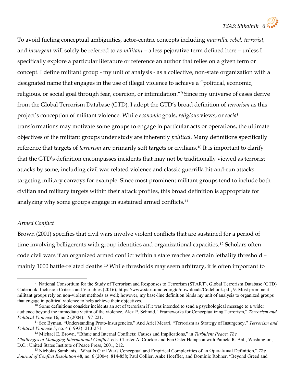To avoid fueling conceptual ambiguities, actor-centric concepts including guerrilla, rebel, terrorist, and insurgent will solely be referred to as militant – a less pejorative term defined here – unless I specifically explore a particular literature or reference an author that relies on a given term or concept. I define militant group - my unit of analysis - as a collective, non-state organization with a designated name that engages in the use of illegal violence to achieve a "political, economic, religious, or social goal through fear, coercion, or intimidation."9 Since my universe of cases derive from the Global Terrorism Database (GTD), I adopt the GTD's broad definition of terrorism as this project's conception of militant violence. While economic goals, religious views, or social transformations may motivate some groups to engage in particular acts or operations, the ultimate objectives of the militant groups under study are inherently political. Many definitions specifically reference that targets of *terrorism* are primarily soft targets or civilians.<sup>10</sup> It is important to clarify that the GTD's definition encompasses incidents that may not be traditionally viewed as terrorist attacks by some, including civil war related violence and classic guerrilla hit-and-run attacks targeting military convoys for example. Since most prominent militant groups tend to include both civilian and military targets within their attack profiles, this broad definition is appropriate for analyzing why some groups engage in sustained armed conflicts.<sup>11</sup>

# Armed Conflict

l

Brown (2001) specifies that civil wars involve violent conflicts that are sustained for a period of time involving belligerents with group identities and organizational capacities.<sup>12</sup> Scholars often code civil wars if an organized armed conflict within a state reaches a certain lethality threshold – mainly 1000 battle-related deaths.13 While thresholds may seem arbitrary, it is often important to

<sup>&</sup>lt;sup>9</sup> National Consortium for the Study of Terrorism and Responses to Terrorism (START), Global Terrorism Database (GTD) Codebook: Inclusion Criteria and Variables (2016), https://www.start.umd.edu/gtd/downloads/Codebook.pdf, 9. Most prominent militant groups rely on non-violent methods as well; however, my base-line definition binds my unit of analysis to organized groups that engage in political violence to help achieve their objectives.

 $^{10}$  Some definitions consider incidents an act of terrorism if it was intended to send a psychological message to a wider audience beyond the immediate victim of the violence. Alex P. Schmid, "Frameworks for Conceptualizing Terrorism," Terrorism and Political Violence 16, no.2 (2004): 197-221.

<sup>&</sup>lt;sup>11</sup> See Byman, "Understanding Proto-Insurgencies." And Ariel Merari, "Terrorism as Strategy of Insurgency," Terrorism and Political Violence 5, no. 4 (1993): 213-251

<sup>&</sup>lt;sup>12</sup> Michael E. Brown, "Ethnic and Internal Conflicts: Causes and Implications," in Turbulent Peace: The Challenges of Managing International Conflict, eds. Chester A. Crocker and Fen Osler Hampson with Pamela R. Aall, Washington, D.C.: United States Institute of Peace Press, 2001, 212.

 $13$  Nicholas Sambanis, "What Is Civil War? Conceptual and Empirical Complexities of an Operational Definition," The Journal of Conflict Resolution 48, no. 6 (2004): 814-858; Paul Collier, Anke Hoeffler, and Dominic Rohner, "Beyond Greed and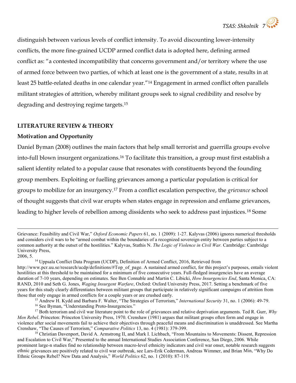distinguish between various levels of conflict intensity. To avoid discounting lower-intensity conflicts, the more fine-grained UCDP armed conflict data is adopted here, defining armed conflict as: "a contested incompatibility that concerns government and/or territory where the use of armed force between two parties, of which at least one is the government of a state, results in at least 25 battle-related deaths in one calendar year."14 Engagement in armed conflict often parallels militant strategies of attrition, whereby militant groups seek to signal credibility and resolve by degrading and destroying regime targets.<sup>15</sup>

# LITERATURE REVIEW & THEORY

# Motivation and Opportunity

Daniel Byman (2008) outlines the main factors that help small terrorist and guerrilla groups evolve into-full blown insurgent organizations.16 To facilitate this transition, a group must first establish a salient identity related to a popular cause that resonates with constituents beyond the founding group members. Exploiting or fuelling grievances among a particular population is critical for groups to mobilize for an insurgency.17 From a conflict escalation perspective, the grievance school of thought suggests that civil war erupts when states engage in repression and enflame grievances, leading to higher levels of rebellion among dissidents who seek to address past injustices.18 Some

<sup>15</sup> Andrew H. Kydd and Barbara F. Walter, "The Strategies of Terrorism," International Security 31, no. 1 (2006): 49-79.

<sup>16</sup> See Byman, "Understanding Proto-Insurgencies."

Grievance: Feasibility and Civil War," Oxford Economic Papers 61, no. 1 (2009): 1-27. Kalyvas (2006) ignores numerical thresholds and considers civil wars to be "armed combat within the boundaries of a recognized sovereign entity between parties subject to a common authority at the outset of the hostilities." Kalyvas, Stathis N. The Logic of Violence in Civil War. Cambridge: Cambridge University Press, 2006, 5.

<sup>14</sup> Uppsala Conflict Data Program (UCDP), Definition of Armed Conflict, 2016, Retrieved from http://www.pcr.uu.se/research/ucdp/definitions/#Top\_of\_page. A sustained armed conflict, for this project's purposes, entails violent hostilities at this threshold to be maintained for a minimum of five consecutive years. Full-fledged insurgencies have an average duration of 7-10 years, depending on estimates. See Ben Connable and Martin C. Libicki, *How Insurgencies End*, Santa Monica, CA: RAND, 2010 and Seth G. Jones, Waging Insurgent Warfare, Oxford: Oxford University Press, 2017. Setting a benchmark of five years for this study clearly differentiates between militant groups that participate in relatively significant campaigns of attrition from those that only engage in armed conflicts for a couple years or are crushed early.

<sup>&</sup>lt;sup>17</sup> Both terrorism and civil war literature point to the role of grievances and relative deprivation arguments. Ted R. Gurr,  $Why$ Men Rebel. Princeton: Princeton University Press, 1970. Crenshaw (1981) argues that militant groups often form and engage in violence after social movements fail to achieve their objectives through peaceful means and discrimination is unaddressed. See Martha Crenshaw, "The Causes of Terrorism," Comparative Politics 13, no. 4 (1981): 379-399.

<sup>&</sup>lt;sup>18</sup> Christian Davenport, David A. Armstrong II, and Mark I. Lichbach, "From Mountains to Movements: Dissent, Repression and Escalation to Civil War," Presented to the annual International Studies Association Conference, San Diego, 2006. While prominent large-n studies find no relationship between macro-level ethnicity indicators and civil war onset, notable research suggests ethnic grievances are positively related to civil war outbreak, see Lars-Erik Cederman, Andreas Wimmer, and Brian Min, "Why Do Ethnic Groups Rebel? New Data and Analysis," World Politics 62, no. 1 (2010): 87-119.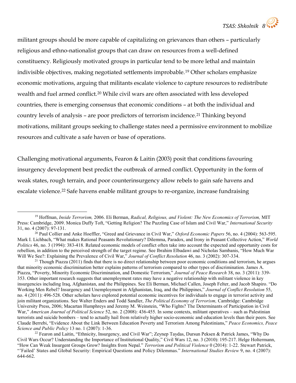militant groups should be more capable of capitalizing on grievances than others – particularly religious and ethno-nationalist groups that can draw on resources from a well-defined constituency. Religiously motivated groups in particular tend to be more lethal and maintain indivisible objectives, making negotiated settlements improbable.19 Other scholars emphasize economic motivations, arguing that militants escalate violence to capture resources to redistribute wealth and fuel armed conflict.20 While civil wars are often associated with less developed countries, there is emerging consensus that economic conditions – at both the individual and country levels of analysis – are poor predictors of terrorism incidence.21 Thinking beyond motivations, militant groups seeking to challenge states need a permissive environment to mobilize resources and cultivate a safe haven or base of operations.

Challenging motivational arguments, Fearon & Laitin (2003) posit that conditions favouring insurgency development best predict the outbreak of armed conflict. Opportunity in the form of weak states, rough terrain, and poor counterinsurgency allow rebels to gain safe havens and escalate violence.22 Safe havens enable militant groups to re-organize, increase fundraising

<sup>&</sup>lt;sup>19</sup> Hoffman, Inside Terrorism, 2006. Eli Berman, Radical, Religious, and Violent: The New Economics of Terrorism, MIT Press: Cambridge, 2009. Monica Duffy Toft, "Getting Religion? The Puzzling Case of Islam and Civil War," International Security 31, no. 4 (2007): 97-131.

<sup>&</sup>lt;sup>20</sup> Paul Collier and Anke Hoeffler, "Greed and Grievance in Civil War," Oxford Economic Papers 56, no. 4 (2004): 563-595. Mark I. Lichbach, "What makes Rational Peasants Revolutionary? Dilemma, Paradox, and Irony in Peasant Collective Action," World Politics 46, no. 3 (1994): 383-418. Related economic models of conflict often take into account the expected and opportunity costs for rebellion, in addition to the perceived strength of the target regime. See Ibrahim Elbadawi and Nicholas Sambanis, "How Much War Will We See?: Explaining the Prevalence of Civil War," Journal of Conflict Resolution 46, no. 3 (2002): 307-334.

 $21$  Though Piazza (2011) finds that there is no direct relationship between poor economic conditions and terrorism, he argues that minority economic discrimination better explains patterns of terrorism compared to other types of discrimination. James A. Piazza, "Poverty, Minority Economic Discrimination, and Domestic Terrorism," Journal of Peace Research 38, no. 3 (2011): 339- 353. Other important research suggests that unemployment rates may have a negative relationship with militant violence in key insurgencies including Iraq, Afghanistan, and the Philippines. See Eli Berman, Michael Callen, Joseph Felter, and Jacob Shapiro. "Do Working Men Rebel? Insurgency and Unemployment in Afghanistan, Iraq, and the Philippines," Journal of Conflict Resolution 55, no. 4 (2011): 496-528. Other scholars have explored potential economic incentives for individuals to engage in terrorist activity and join militant organizations. See Walter Enders and Todd Sandler, The Political Economy of Terrorism, Cambridge: Cambridge University Press, 2006; Macartan Humphreys and Jeremy M. Weinstein, "Who Fights? The Determinants of Participation in Civil War," American Journal of Political Science 52, no. 2 (2008): 436-455. In some contexts, militant operatives – such as Palestinian terrorists and suicide bombers – tend to actually hail from relatively higher socio-economic and education levels than their peers. See Claude Berrebi, "Evidence About the Link Between Education Poverty and Terrorism Among Palestinians," Peace Economics, Peace Science and Public Policy 13 no. 1 (2007): 1-36.

<sup>22</sup> Fearon and Laitin, "Ethnicity, Insurgency, and Civil War"; Zeynep Taydas, Dursun Peksen & Patrick James, "Why Do Civil Wars Occur? Understanding the Importance of Institutional Quality," Civil Wars 12, no. 3 (2010): 195-217. Helge Holtermann, "How Can Weak Insurgent Groups Grow? Insights from Nepal." Terrorism and Political Violence 0 (2014): 1-22. Stewart Patrick, "'Failed' States and Global Security: Empirical Questions and Policy Dilemmas." International Studies Review 9, no. 4 (2007): 644-662.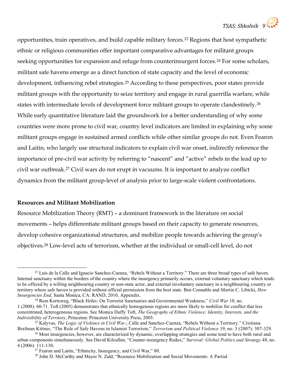opportunities, train operatives, and build capable military forces.23 Regions that host sympathetic ethnic or religious communities offer important comparative advantages for militant groups seeking opportunities for expansion and refuge from counterinsurgent forces.<sup>24</sup> For some scholars, militant safe havens emerge as a direct function of state capacity and the level of economic development, influencing rebel strategies.<sup>25</sup> According to these perspectives, poor states provide militant groups with the opportunity to seize territory and engage in rural guerrilla warfare, while states with intermediate levels of development force militant groups to operate clandestinely.<sup>26</sup> While early quantitative literature laid the groundwork for a better understanding of why some countries were more prone to civil war, country level indicators are limited in explaining why some militant groups engage in sustained armed conflicts while other similar groups do not. Even Fearon and Laitin, who largely use structural indicators to explain civil war onset, indirectly reference the importance of pre-civil war activity by referring to "nascent" and "active" rebels in the lead up to civil war outbreak.27 Civil wars do not erupt in vacuums. It is important to analyze conflict dynamics from the militant group-level of analysis prior to large-scale violent confrontations.

# Resources and Militant Mobilization

l

Resource Mobilization Theory (RMT) – a dominant framework in the literature on social movements – helps differentiate militant groups based on their capacity to generate resources, develop cohesive organizational structures, and mobilize people towards achieving the group's objectives.28 Low-level acts of terrorism, whether at the individual or small-cell level, do not

<sup>&</sup>lt;sup>23</sup> Luis de la Calle and Ignacio Sanchez-Cuenza, "Rebels Without a Territory." There are three broad types of safe haven. Internal sanctuary within the borders of the country where the insurgency primarily occurs, external voluntary sanctuary which tends to be offered by a willing neighbouring country or non-state actor, and external involuntary sanctuary in a neighbouring country or territory where safe haven is provided without official permission from the host state. Ben Connable and Martin C. Libicki, How Insurgencies End, Santa Monica, CA: RAND, 2010, Appendix.

<sup>&</sup>lt;sup>24</sup> Rem Korteweg, "Black Holes: On Terrorist Sanctuaries and Governmental Weakness," Civil War 10, no. 1 (2008): 60-71. Toft (2005) demonstrates that ethnically homogenous regions are more likely to mobilize for conflict that less concentrated, heterogeneous regions. See Monica Duffy Toft, The Geography of Ethnic Violence: Identity, Interests, and the Indivisibility of Territory, Princeton: Princeton University Press, 2005.

<sup>&</sup>lt;sup>25</sup> Kalyvas, *The Logic of Violence in Civil War*.; Calle and Sanchez-Cuenza, "Rebels Without a Territory." Cristiana Brafman Kittner, "The Role of Safe Havens in Islamist Terrorism," Terrorism and Political Violence 19, no. 3 (2007): 307-329.

<sup>&</sup>lt;sup>26</sup> Most insurgencies, however, are characterized by dynamic, overlapping strategies and some tend to have both rural and urban components simultaneously. See David Kilcullen, "Counter-insurgency Redux," Survival: Global Politics and Strategy 48, no. 4 (2006): 111-130.

<sup>27</sup> Fearon and Laitin, "Ethnicity, Insurgency, and Civil War," 80.

<sup>28</sup> John D. McCarthy and Mayer N. Zald, "Resource Mobilization and Social Movements: A Partial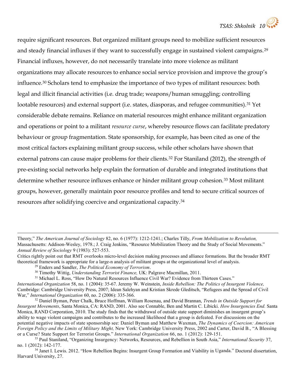require significant resources. But organized militant groups need to mobilize sufficient resources and steady financial influxes if they want to successfully engage in sustained violent campaigns.<sup>29</sup> Financial influxes, however, do not necessarily translate into more violence as militant organizations may allocate resources to enhance social service provision and improve the group's influence.30 Scholars tend to emphasize the importance of two types of militant resources: both legal and illicit financial activities (i.e. drug trade; weapons/human smuggling; controlling lootable resources) and external support (i.e. states, diasporas, and refugee communities).<sup>31</sup> Yet considerable debate remains. Reliance on material resources might enhance militant organization and operations or point to a militant *resource curse*, whereby resource flows can facilitate predatory behaviour or group fragmentation. State sponsorship, for example, has been cited as one of the most critical factors explaining militant group success, while other scholars have shown that external patrons can cause major problems for their clients.<sup>32</sup> For Staniland (2012), the strength of pre-existing social networks help explain the formation of durable and integrated institutions that determine whether resource influxes enhance or hinder militant group cohesion.<sup>33</sup> Most militant groups, however, generally maintain poor resource profiles and tend to secure critical sources of resources after solidifying coercive and organizational capacity.<sup>34</sup>

Theory," The American Journal of Sociology 82, no. 6 (1977): 1212-1241.; Charles Tilly, From Mobilization to Revolution, Massachusetts: Addison-Wesley, 1978.; J. Craig Jenkins, "Resource Mobilization Theory and the Study of Social Movements." Annual Review of Sociology 9 (1983): 527-553.

Critics rightly point out that RMT overlooks micro-level decision making processes and alliance formations. But the broader RMT theoretical framework is appropriate for a large-n analysis of militant groups at the organizational level of analysis.

 $29$  Enders and Sandler, The Political Economy of Terrorism.

<sup>&</sup>lt;sup>30</sup> Timothy Wittig, Understanding Terrorist Finance, UK: Palgrave Macmillan, 2011.

<sup>&</sup>lt;sup>31</sup> Michael L. Ross, "How Do Natural Resources Influence Civil War? Evidence from Thirteen Cases." International Organization 58, no. 1 (2004): 35-67. Jeremy W. Weinstein, Inside Rebellion: The Politics of Insurgent Violence, Cambridge: Cambridge University Press, 2007; Idean Salehyan and Kristian Skrede Gleditsch, "Refugees and the Spread of Civil War," International Organization 60, no. 2 (2006): 335-366.

<sup>&</sup>lt;sup>32</sup> Daniel Byman, Peter Chalk, Bruce Hoffman, William Rosenau, and David Brannan, Trends in Outside Support for Insurgent Movements, Santa Monica, CA: RAND, 2001. Also see Connable, Ben and Martin C. Libicki. How Insurgencies End. Santa Monica, RAND Corporation, 2010. The study finds that the withdrawal of outside state support diminishes an insurgent group's ability to wage violent campaigns and contributes to the increased likelihood that a group is defeated. For discussions on the potential negative impacts of state sponsorship see: Daniel Byman and Matthew Waxman, The Dynamics of Coercion: American Foreign Policy and the Limits of Military Might, New York: Cambridge University Press, 2002 and Carter, David B., "A Blessing or a Curse? State Support for Terrorist Groups." International Organization 66, no. 1 (2012): 129-151.

<sup>&</sup>lt;sup>33</sup> Paul Staniland, "Organizing Insurgency: Networks, Resources, and Rebellion in South Asia," *International Security* 37, no. 1 (2012): 142-177.

<sup>&</sup>lt;sup>34</sup> Janet I. Lewis. 2012. "How Rebellion Begins: Insurgent Group Formation and Viability in Uganda." Doctoral dissertation, Harvard University, 27.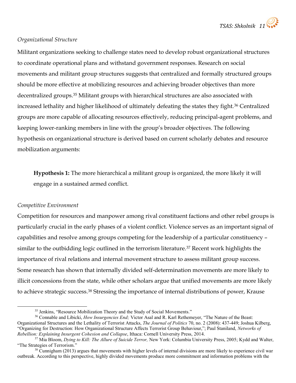# Organizational Structure

Militant organizations seeking to challenge states need to develop robust organizational structures to coordinate operational plans and withstand government responses. Research on social movements and militant group structures suggests that centralized and formally structured groups should be more effective at mobilizing resources and achieving broader objectives than more decentralized groups.35 Militant groups with hierarchical structures are also associated with increased lethality and higher likelihood of ultimately defeating the states they fight.<sup>36</sup> Centralized groups are more capable of allocating resources effectively, reducing principal-agent problems, and keeping lower-ranking members in line with the group's broader objectives. The following hypothesis on organizational structure is derived based on current scholarly debates and resource mobilization arguments:

Hypothesis 1: The more hierarchical a militant group is organized, the more likely it will engage in a sustained armed conflict.

# Competitive Environment

l

Competition for resources and manpower among rival constituent factions and other rebel groups is particularly crucial in the early phases of a violent conflict. Violence serves as an important signal of capabilities and resolve among groups competing for the leadership of a particular constituency – similar to the outbidding logic outlined in the terrorism literature.37 Recent work highlights the importance of rival relations and internal movement structure to assess militant group success. Some research has shown that internally divided self-determination movements are more likely to illicit concessions from the state, while other scholars argue that unified movements are more likely to achieve strategic success.38 Stressing the importance of internal distributions of power, Krause

<sup>&</sup>lt;sup>35</sup> Jenkins, "Resource Mobilization Theory and the Study of Social Movements."

<sup>&</sup>lt;sup>36</sup> Connable and Libicki, *How Insurgencies End;* Victor Asal and R. Karl Rethemeyer, "The Nature of the Beast: Organizational Structures and the Lethality of Terrorist Attacks, The Journal of Politics 70, no. 2 (2008): 437-449; Joshua Kilberg, "Organizing for Destruction: How Organizational Structure Affects Terrorist Group Behaviour,"; Paul Staniland, Networks of Rebellion: Explaining Insurgent Cohesion and Collapse, Ithaca: Cornell University Press, 2014.

<sup>&</sup>lt;sup>37</sup> Mia Bloom, *Dying to Kill: The Allure of Suicide Terror*, New York: Columbia University Press, 2005; Kydd and Walter, "The Strategies of Terrorism."

<sup>&</sup>lt;sup>38</sup> Cunnigham (2013) argues that movements with higher levels of internal divisions are more likely to experience civil war outbreak. According to this perspective, highly divided movements produce more commitment and information problems with the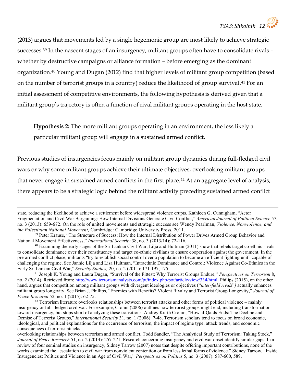(2013) argues that movements led by a single hegemonic group are most likely to achieve strategic successes.39 In the nascent stages of an insurgency, militant groups often have to consolidate rivals – whether by destructive campaigns or alliance formation – before emerging as the dominant organization.40 Young and Dugan (2012) find that higher levels of militant group competition (based on the number of terrorist groups in a country) reduce the likelihood of group survival.41 For an initial assessment of competitive environments, the following hypothesis is derived given that a militant group's trajectory is often a function of rival militant groups operating in the host state.

Hypothesis 2: The more militant groups operating in an environment, the less likely a particular militant group will engage in a sustained armed conflict.

Previous studies of insurgencies focus mainly on militant group dynamics during full-fledged civil wars or why some militant groups achieve their ultimate objectives, overlooking militant groups that never engage in sustained armed conflicts in the first place.<sup>42</sup> At an aggregate level of analysis, there appears to be a strategic logic behind the militant activity preceding sustained armed conflict

state, reducing the likelihood to achieve a settlement before widespread violence erupts. Kathleen G. Cunnigham, "Actor Fragmentation and Civil War Bargaining: How Internal Divisions Generate Civil Conflict," American Journal of Political Science 57, no. 3 (2013): 659-672. On the role of united movements and strategic success see Wendy Pearlman, Violence, Nonviolence, and the Palestinian National Movement, Cambridge: Cambridge University Press, 2011.

<sup>&</sup>lt;sup>39</sup> Peter Krause, "The Structure of Success: How the Internal Distribution of Power Drives Armed Group Behavior and National Movement Effectiveness," International Security 38, no. 3 (2013/14): 72-116.

 $40$  Examining the early stages of the Sri Lankan Civil War, Lilja and Hultman (2011) show that rebels target co-ethnic rivals to consolidate dominance over their constituency and target co-ethnic civilians to ensure cooperation against the government. In the pre-armed conflict phase, militants "try to establish social control over a population to become an efficient fighting unit" capable of challenging the regime. See Jannie Lilja and Lisa Hultman, "Intraethnic Dominance and Control: Violence Against Co-Ethnics in the Early Sri Lankan Civil War," Security Studies, 20, no. 2 (2011): 171-197, 175.

<sup>&</sup>lt;sup>41</sup> Joseph K. Young and Laura Dugan, "Survival of the Fittest: Why Terrorist Groups Endure," Perspectives on Terrorism 8, no. 2 (2014). Retrieved from: http://www.terrorismanalysts.com/pt/index.php/pot/article/view/334/html. Philips (2015), on the other hand, argues that competition among militant groups with divergent ideologies or objectives ("*inter-field rivals*") actually enhances militant group longevity. See Brian J. Phillips, "Enemies with Benefits? Violent Rivalry and Terrorist Group Longevity," Journal of Peace Research 52, no. 1 (2015): 62-75.

<sup>42</sup> Terrorism literature overlooks relationships between terrorist attacks and other forms of political violence – mainly insurgency or full-fledged civil war. For example, Cronin (2006) outlines how terrorist groups might end, including transformation toward insurgency, but stops short of analyzing these transitions. Audrey Kurth Cronin, "How al-Qaids Ends: The Decline and Demise of Terrorist Groups," International Security 31, no. 1 (2006): 7-48. Terrorism scholars tend to focus on broad economic, ideological, and political explanations for the occurrence of terrorism, the impact of regime type, attack trends, and economic consequences of terrorist attacks –

overlooking relationships between terrorism and armed conflict. Todd Sandler, "The Analytical Study of Terrorism: Taking Stock," Journal of Peace Research 51, no. 2 (2014): 257-271. Research concerning insurgency and civil war onset identify similar gaps. In a review of four seminal studies on insurgency, Sidney Tarrow (2007) notes that despite offering important contributions, none of the works examined the "escalation to civil war from nonviolent contention or from less lethal forms of violence." Sidney Tarrow, "Inside Insurgencies: Politics and Violence in an Age of Civil War," Perspectives on Politics 5, no. 3 (2007): 587-600, 589.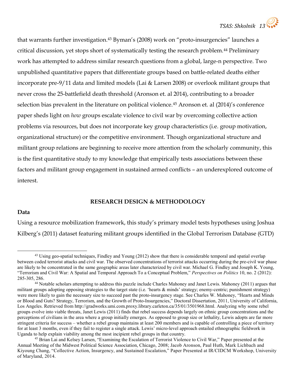that warrants further investigation.43 Byman's (2008) work on "proto-insurgencies" launches a critical discussion, yet stops short of systematically testing the research problem.44 Preliminary work has attempted to address similar research questions from a global, large-n perspective. Two unpublished quantitative papers that differentiate groups based on battle-related deaths either incorporate pre-9/11 data and limited models (Lai & Larsen 2008) or overlook militant groups that never cross the 25-battlefield death threshold (Aronson et. al 2014), contributing to a broader selection bias prevalent in the literature on political violence.45 Aronson et. al (2014)'s conference paper sheds light on how groups escalate violence to civil war by overcoming collective action problems via resources, but does not incorporate key group characteristics (i.e. group motivation, organizational structure) or the competitive environment. Though organizational structure and militant group relations are beginning to receive more attention from the scholarly community, this is the first quantitative study to my knowledge that empirically tests associations between these factors and militant group engagement in sustained armed conflicts – an underexplored outcome of interest.

# RESEARCH DESIGN & METHODOLOGY

#### Data

l

Using a resource mobilization framework, this study's primary model tests hypotheses using Joshua Kilberg's (2011) dataset featuring militant groups identified in the Global Terrorism Database (GTD)

 $43$  Using geo-spatial techniques, Findley and Young (2012) show that there is considerable temporal and spatial overlap between coded terrorist attacks and civil war. The observed concentrations of terrorist attacks occurring during the pre-civil war phase are likely to be concentrated in the same geographic areas later characterized by civil war. Michael G. Findley and Joseph K. Young, "Terrorism and Civil War: A Spatial and Temporal Approach To a Conceptual Problem," Perspectives on Politics 10, no. 2 (2012): 285-305, 286.

<sup>44</sup> Notable scholars attempting to address this puzzle include Charles Mahoney and Janet Lewis. Mahoney (2011) argues that militant groups adopting opposing strategies to the target state (i.e. 'hearts & minds' strategy; enemy-centric; punishment strategy) were more likely to gain the necessary size to succeed past the proto-insurgency stage. See Charles W. Mahoney, "Hearts and Minds or Blood and Guts? Strategy, Terrorism, and the Growth of Proto-Insurgencies," Doctoral Dissertation, 2011, University of California, Los Angeles. Retrieved from http://gradworks.umi.com.proxy.library.carleton.ca/35/01/3501968.html. Analyzing why some rebel groups evolve into viable threats, Janet Lewis (2011) finds that rebel success depends largely on ethnic group concentrations and the perceptions of civilians in the area where a group initially emerges. As opposed to group size or lethality, Lewis adopts are far more stringent criteria for success – whether a rebel group maintains at least 200 members and is capable of controlling a piece of territory for at least 3 months, even if they fail to register a single attack. Lewis' micro-level approach entailed ethnographic fieldwork in Uganda to help explain viability among the most incipient rebel groups in that country.

<sup>&</sup>lt;sup>45</sup> Brian Lai and Kelsey Larsen, "Examining the Escalation of Terrorist Violence to Civil War," Paper presented at the Annual Meeting of the Midwest Political Science Association, Chicago, 2008; Jacob Aronson, Paul Huth, Mark Lichbach and Kiyoung Chang, "Collective Action, Insurgency, and Sustained Escalation," Paper Presented at IR/CIDCM Workshop, University of Maryland, 2014.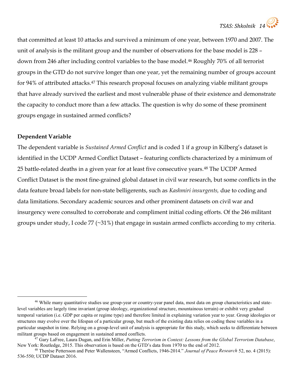that committed at least 10 attacks and survived a minimum of one year, between 1970 and 2007. The unit of analysis is the militant group and the number of observations for the base model is 228 – down from 246 after including control variables to the base model.<sup>46</sup> Roughly 70% of all terrorist groups in the GTD do not survive longer than one year, yet the remaining number of groups account for 94% of attributed attacks.<sup>47</sup> This research proposal focuses on analyzing viable militant groups that have already survived the earliest and most vulnerable phase of their existence and demonstrate the capacity to conduct more than a few attacks. The question is why do some of these prominent groups engage in sustained armed conflicts?

#### Dependent Variable

l

The dependent variable is Sustained Armed Conflict and is coded 1 if a group in Kilberg's dataset is identified in the UCDP Armed Conflict Dataset – featuring conflicts characterized by a minimum of 25 battle-related deaths in a given year for at least five consecutive years.<sup>48</sup> The UCDP Armed Conflict Dataset is the most fine-grained global dataset in civil war research, but some conflicts in the data feature broad labels for non-state belligerents, such as Kashmiri insurgents, due to coding and data limitations. Secondary academic sources and other prominent datasets on civil war and insurgency were consulted to corroborate and compliment initial coding efforts. Of the 246 militant groups under study, I code 77 (~31%) that engage in sustain armed conflicts according to my criteria.

<sup>&</sup>lt;sup>46</sup> While many quantitative studies use group-year or country-year panel data, most data on group characteristics and statelevel variables are largely time invariant (group ideology, organizational structure, mountainous terrain) or exhibit very gradual temporal variation (i.e. GDP per capita or regime type) and therefore limited in explaining variation year to year. Group ideologies or structures may evolve over the lifespan of a particular group, but much of the existing data relies on coding these variables in a particular snapshot in time. Relying on a group-level unit of analysis is appropriate for this study, which seeks to differentiate between militant groups based on engagement in sustained armed conflicts.

 $47$  Gary LaFree, Laura Dugan, and Erin Miller, Putting Terrorism in Context: Lessons from the Global Terrorism Database, New York: Routledge, 2015. This observation is based on the GTD's data from 1970 to the end of 2012.

<sup>&</sup>lt;sup>48</sup> Therése Pettersson and Peter Wallensteen, "Armed Conflicts, 1946-2014." Journal of Peace Research 52, no. 4 (2015): 536-550; UCDP Dataset 2016.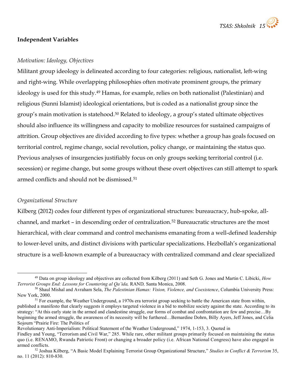

# Independent Variables

#### Motivation: Ideology, Objectives

Militant group ideology is delineated according to four categories: religious, nationalist, left-wing and right-wing. While overlapping philosophies often motivate prominent groups, the primary ideology is used for this study.<sup>49</sup> Hamas, for example, relies on both nationalist (Palestinian) and religious (Sunni Islamist) ideological orientations, but is coded as a nationalist group since the group's main motivation is statehood.50 Related to ideology, a group's stated ultimate objectives should also influence its willingness and capacity to mobilize resources for sustained campaigns of attrition. Group objectives are divided according to five types: whether a group has goals focused on territorial control, regime change, social revolution, policy change, or maintaining the status quo. Previous analyses of insurgencies justifiably focus on only groups seeking territorial control (i.e. secession) or regime change, but some groups without these overt objectives can still attempt to spark armed conflicts and should not be dismissed.<sup>51</sup>

#### Organizational Structure

l

Kilberg (2012) codes four different types of organizational structures: bureaucracy, hub-spoke, allchannel, and market – in descending order of centralization.<sup>52</sup> Bureaucratic structures are the most hierarchical, with clear command and control mechanisms emanating from a well-defined leadership to lower-level units, and distinct divisions with particular specializations. Hezbollah's organizational structure is a well-known example of a bureaucracy with centralized command and clear specialized

 $49$  Data on group ideology and objectives are collected from Kilberg (2011) and Seth G. Jones and Martin C. Libicki,  $How$ Terrorist Groups End: Lessons for Countering al Qa'ida, RAND, Santa Monica, 2008.

<sup>50</sup> Shaul Mishal and Avraham Sela, The Palestinian Hamas: Vision, Violence, and Coexistence, Columbia University Press: New York, 2000.

<sup>&</sup>lt;sup>51</sup> For example, the Weather Underground, a 1970s era terrorist group seeking to battle the American state from within, published a manifesto that clearly suggests it employs targeted violence in a bid to mobilize society against the state. According to its strategy: "At this early state in the armed and clandestine struggle, our forms of combat and confrontation are few and precise…By beginning the armed struggle, the awareness of its necessity will be furthered…Bernardine Dohrn, Billy Ayers, Jeff Jones, and Celia Sojourn "Prairie Fire: The Politics of

Revolutionary Anti-Imperialism: Political Statement of the Weather Underground," 1974, 1-153, 3. Quoted in

Findley and Young, "Terrorism and Civil War," 285. While rare, other militant groups primarily focused on maintaining the status quo (i.e. RENAMO, Rwanda Patriotic Front) or changing a broader policy (i.e. African National Congress) have also engaged in armed conflicts.

<sup>52</sup> Joshua Kilberg, "A Basic Model Explaining Terrorist Group Organizational Structure," Studies in Conflict & Terrorism 35, no. 11 (2012): 810-830.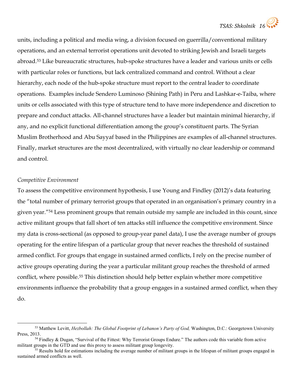units, including a political and media wing, a division focused on guerrilla/conventional military operations, and an external terrorist operations unit devoted to striking Jewish and Israeli targets abroad.53 Like bureaucratic structures, hub-spoke structures have a leader and various units or cells with particular roles or functions, but lack centralized command and control. Without a clear hierarchy, each node of the hub-spoke structure must report to the central leader to coordinate operations. Examples include Sendero Luminoso (Shining Path) in Peru and Lashkar-e-Taiba, where units or cells associated with this type of structure tend to have more independence and discretion to prepare and conduct attacks. All-channel structures have a leader but maintain minimal hierarchy, if any, and no explicit functional differentiation among the group's constituent parts. The Syrian Muslim Brotherhood and Abu Sayyaf based in the Philippines are examples of all-channel structures. Finally, market structures are the most decentralized, with virtually no clear leadership or command and control.

# Competitive Environment

l

To assess the competitive environment hypothesis, I use Young and Findley (2012)'s data featuring the "total number of primary terrorist groups that operated in an organisation's primary country in a given year."54 Less prominent groups that remain outside my sample are included in this count, since active militant groups that fall short of ten attacks still influence the competitive environment. Since my data is cross-sectional (as opposed to group-year panel data), I use the average number of groups operating for the entire lifespan of a particular group that never reaches the threshold of sustained armed conflict. For groups that engage in sustained armed conflicts, I rely on the precise number of active groups operating during the year a particular militant group reaches the threshold of armed conflict, where possible.55 This distinction should help better explain whether more competitive environments influence the probability that a group engages in a sustained armed conflict, when they do.

<sup>53</sup> Matthew Levitt, Hezbollah: The Global Footprint of Lebanon's Party of God, Washington, D.C.: Georgetown University Press, 2013.

<sup>&</sup>lt;sup>54</sup> Findley & Dugan, "Survival of the Fittest: Why Terrorist Groups Endure." The authors code this variable from active militant groups in the GTD and use this proxy to assess militant group longevity.

<sup>&</sup>lt;sup>55</sup> Results hold for estimations including the average number of militant groups in the lifespan of militant groups engaged in sustained armed conflicts as well.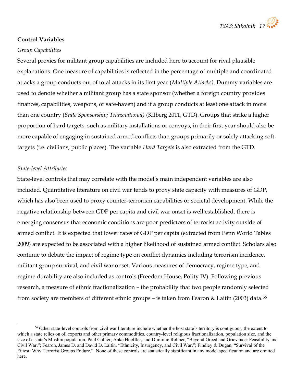

#### Control Variables

#### Group Capabilities

Several proxies for militant group capabilities are included here to account for rival plausible explanations. One measure of capabilities is reflected in the percentage of multiple and coordinated attacks a group conducts out of total attacks in its first year (Multiple Attacks). Dummy variables are used to denote whether a militant group has a state sponsor (whether a foreign country provides finances, capabilities, weapons, or safe-haven) and if a group conducts at least one attack in more than one country (State Sponsorship; Transnational) (Kilberg 2011, GTD). Groups that strike a higher proportion of hard targets, such as military installations or convoys, in their first year should also be more capable of engaging in sustained armed conflicts than groups primarily or solely attacking soft targets (i.e. civilians, public places). The variable Hard Targets is also extracted from the GTD.

# State-level Attributes

l

State-level controls that may correlate with the model's main independent variables are also included. Quantitative literature on civil war tends to proxy state capacity with measures of GDP, which has also been used to proxy counter-terrorism capabilities or societal development. While the negative relationship between GDP per capita and civil war onset is well established, there is emerging consensus that economic conditions are poor predictors of terrorist activity outside of armed conflict. It is expected that lower rates of GDP per capita (extracted from Penn World Tables 2009) are expected to be associated with a higher likelihood of sustained armed conflict. Scholars also continue to debate the impact of regime type on conflict dynamics including terrorism incidence, militant group survival, and civil war onset. Various measures of democracy, regime type, and regime durability are also included as controls (Freedom House, Polity IV). Following previous research, a measure of ethnic fractionalization – the probability that two people randomly selected from society are members of different ethnic groups – is taken from Fearon & Laitin (2003) data.<sup>56</sup>

<sup>56</sup> Other state-level controls from civil war literature include whether the host state's territory is contiguous, the extent to which a state relies on oil exports and other primary commodities, country-level religious fractionalization, population size, and the size of a state's Muslim population. Paul Collier, Anke Hoeffler, and Dominic Rohner, "Beyond Greed and Grievance: Feasibility and Civil War,"; Fearon, James D. and David D. Laitin. "Ethnicity, Insurgency, and Civil War,"; Findley & Dugan, "Survival of the Fittest: Why Terrorist Groups Endure." None of these controls are statistically significant in any model specification and are omitted here.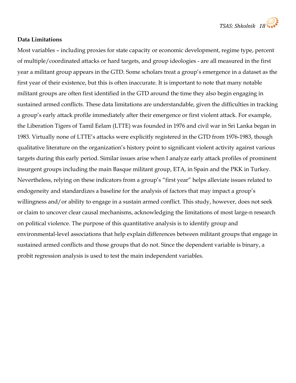#### Data Limitations

Most variables – including proxies for state capacity or economic development, regime type, percent of multiple/coordinated attacks or hard targets, and group ideologies - are all measured in the first year a militant group appears in the GTD. Some scholars treat a group's emergence in a dataset as the first year of their existence, but this is often inaccurate. It is important to note that many notable militant groups are often first identified in the GTD around the time they also begin engaging in sustained armed conflicts. These data limitations are understandable, given the difficulties in tracking a group's early attack profile immediately after their emergence or first violent attack. For example, the Liberation Tigers of Tamil Eelam (LTTE) was founded in 1976 and civil war in Sri Lanka began in 1983. Virtually none of LTTE's attacks were explicitly registered in the GTD from 1976-1983, though qualitative literature on the organization's history point to significant violent activity against various targets during this early period. Similar issues arise when I analyze early attack profiles of prominent insurgent groups including the main Basque militant group, ETA, in Spain and the PKK in Turkey. Nevertheless, relying on these indicators from a group's "first year" helps alleviate issues related to endogeneity and standardizes a baseline for the analysis of factors that may impact a group's willingness and/or ability to engage in a sustain armed conflict. This study, however, does not seek or claim to uncover clear causal mechanisms, acknowledging the limitations of most large-n research on political violence. The purpose of this quantitative analysis is to identify group and environmental-level associations that help explain differences between militant groups that engage in sustained armed conflicts and those groups that do not. Since the dependent variable is binary, a probit regression analysis is used to test the main independent variables.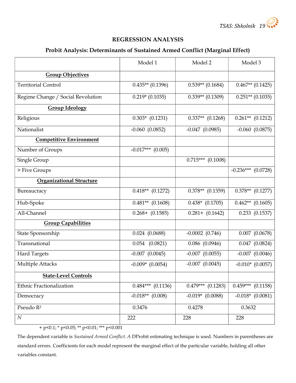# REGRESSION ANALYSIS

# Probit Analysis: Determinants of Sustained Armed Conflict (Marginal Effect)

|                                   | Model 1                        | Model 2             | Model 3                          |
|-----------------------------------|--------------------------------|---------------------|----------------------------------|
| <b>Group Objectives</b>           |                                |                     |                                  |
| <b>Territorial Control</b>        | $0.435**$ (0.1396)             | $0.539**$ (0.1684)  | $0.467**$ (0.1425)               |
| Regime Change / Social Revolution | $0.219*(0.1035)$               | $0.339**$ (0.1309)  | $0.251**$ (0.1035)               |
| <b>Group Ideology</b>             |                                |                     |                                  |
| Religious                         | $0.303*$ $(0.1231)$            | $0.337**$ (0.1268)  | $0.261**$ (0.1212)               |
| Nationalist                       | $-0.060$ $(0.0852)$            | $-0.047$ $(0.0985)$ | $-0.060$ $(0.0875)$              |
| <b>Competitive Environment</b>    |                                |                     |                                  |
| Number of Groups                  | $-0.017***$ (0.005)            |                     |                                  |
| Single Group                      |                                | $0.715***$ (0.1008) |                                  |
| > Five Groups                     |                                |                     | $-0.236***$ (0.0728)             |
| <b>Organizational Structure</b>   |                                |                     |                                  |
| Bureaucracy                       | $0.418**$ (0.1272)             | $0.378**$ (0.1359)  | $\overline{0.378}^{**}$ (0.1277) |
| Hub-Spoke                         | $0.481**$ (0.1608)             | $0.438*$ (0.1705)   | $0.462**$ (0.1605)               |
| All-Channel                       | $0.268 + (0.1585)$             | $0.281 + (0.1642)$  | $0.233$ $(0.1537)$               |
| <b>Group Capabilities</b>         |                                |                     |                                  |
| State Sponsorship                 | $0.024$ $(0.0688)$             | $-0.0002$ $(0.746)$ | $0.007$ $(0.0678)$               |
| Transnational                     | $0.054$ $(0.0821)$             | $0.086$ $(0.0946)$  | $0.047$ $(0.0824)$               |
| <b>Hard Targets</b>               | $-0.007$ $(0.0045)$            | $-0.007$ $(0.0055)$ | $-0.007$ $(0.0046)$              |
| Multiple Attacks                  | $-0.009$ <sup>+</sup> (0.0054) | $-0.007$ $(0.0045)$ | $-0.010$ <sup>+</sup> (0.0057)   |
| <b>State-Level Controls</b>       |                                |                     |                                  |
| Ethnic Fractionalization          | $0.484***$ (0.1136)            | $0.479***$ (0.1283) | $0.459***$ (0.1158)              |
| Democracy                         | $-0.018**$ (0.008)             | $-0.019*$ (0.0088)  | $-0.018*(0.0081)$                |
| Pseudo R <sup>2</sup>             | 0.3476                         | 0.4278              | 0.3632                           |
| $\cal N$                          | 222                            | 228                 | 228                              |

+ p<0.1; \* p<0.05; \*\* p<0.01; \*\*\* p<0.001

The dependent variable is Sustained Armed Conflict. A DProbit estimating technique is used. Numbers in parentheses are standard errors. Coefficients for each model represent the marginal effect of the particular variable, holding all other variables constant.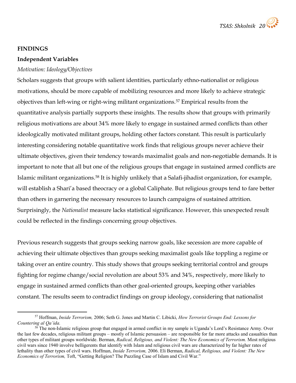

#### **FINDINGS**

l

#### Independent Variables

#### Motivation: Ideology/Objectives

Scholars suggests that groups with salient identities, particularly ethno-nationalist or religious motivations, should be more capable of mobilizing resources and more likely to achieve strategic objectives than left-wing or right-wing militant organizations.57 Empirical results from the quantitative analysis partially supports these insights. The results show that groups with primarily religious motivations are about 34% more likely to engage in sustained armed conflicts than other ideologically motivated militant groups, holding other factors constant. This result is particularly interesting considering notable quantitative work finds that religious groups never achieve their ultimate objectives, given their tendency towards maximalist goals and non-negotiable demands. It is important to note that all but one of the religious groups that engage in sustained armed conflicts are Islamic militant organizations.58 It is highly unlikely that a Salafi-jihadist organization, for example, will establish a Shari'a based theocracy or a global Caliphate. But religious groups tend to fare better than others in garnering the necessary resources to launch campaigns of sustained attrition. Surprisingly, the Nationalist measure lacks statistical significance. However, this unexpected result could be reflected in the findings concerning group objectives.

Previous research suggests that groups seeking narrow goals, like secession are more capable of achieving their ultimate objectives than groups seeking maximalist goals like toppling a regime or taking over an entire country. This study shows that groups seeking territorial control and groups fighting for regime change/social revolution are about 53% and 34%, respectively, more likely to engage in sustained armed conflicts than other goal-oriented groups, keeping other variables constant. The results seem to contradict findings on group ideology, considering that nationalist

<sup>57</sup> Hoffman, Inside Terrorism, 2006; Seth G. Jones and Martin C. Libicki, How Terrorist Groups End: Lessons for Countering al Qa'ida.

<sup>&</sup>lt;sup>58</sup> The non-Islamic religious group that engaged in armed conflict in my sample is Uganda's Lord's Resistance Army. Over the last few decades, religious militant groups – mostly of Islamic persuasion – are responsible for far more attacks and casualties than other types of militant groups worldwide. Berman, Radical, Religious, and Violent: The New Economics of Terrorism. Most religious civil wars since 1940 involve belligerents that identify with Islam and religious civil wars are characterized by far higher rates of lethality than other types of civil wars. Hoffman, Inside Terrorism, 2006. Eli Berman, Radical, Religious, and Violent: The New Economics of Terrorism, Toft, "Getting Religion? The Puzzling Case of Islam and Civil War."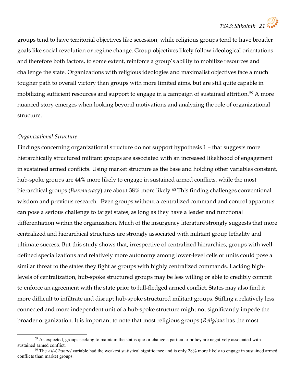groups tend to have territorial objectives like secession, while religious groups tend to have broader goals like social revolution or regime change. Group objectives likely follow ideological orientations and therefore both factors, to some extent, reinforce a group's ability to mobilize resources and challenge the state. Organizations with religious ideologies and maximalist objectives face a much tougher path to overall victory than groups with more limited aims, but are still quite capable in mobilizing sufficient resources and support to engage in a campaign of sustained attrition.<sup>59</sup> A more nuanced story emerges when looking beyond motivations and analyzing the role of organizational structure.

# Organizational Structure

l

Findings concerning organizational structure do not support hypothesis 1 – that suggests more hierarchically structured militant groups are associated with an increased likelihood of engagement in sustained armed conflicts. Using market structure as the base and holding other variables constant, hub-spoke groups are 44% more likely to engage in sustained armed conflicts, while the most hierarchical groups (*Bureaucracy*) are about 38% more likely.<sup>60</sup> This finding challenges conventional wisdom and previous research. Even groups without a centralized command and control apparatus can pose a serious challenge to target states, as long as they have a leader and functional differentiation within the organization. Much of the insurgency literature strongly suggests that more centralized and hierarchical structures are strongly associated with militant group lethality and ultimate success. But this study shows that, irrespective of centralized hierarchies, groups with welldefined specializations and relatively more autonomy among lower-level cells or units could pose a similar threat to the states they fight as groups with highly centralized commands. Lacking highlevels of centralization, hub-spoke structured groups may be less willing or able to credibly commit to enforce an agreement with the state prior to full-fledged armed conflict. States may also find it more difficult to infiltrate and disrupt hub-spoke structured militant groups. Stifling a relatively less connected and more independent unit of a hub-spoke structure might not significantly impede the broader organization. It is important to note that most religious groups (Religious has the most

<sup>&</sup>lt;sup>59</sup> As expected, groups seeking to maintain the status quo or change a particular policy are negatively associated with sustained armed conflict.

 $60$  The All-Channel variable had the weakest statistical significance and is only 28% more likely to engage in sustained armed conflicts than market groups.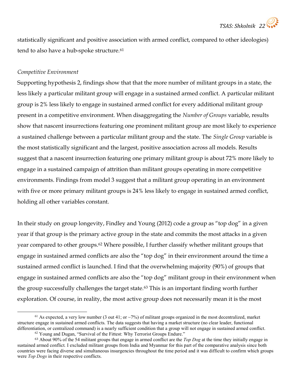statistically significant and positive association with armed conflict, compared to other ideologies) tend to also have a hub-spoke structure.<sup>61</sup>

# Competitive Environment

l

Supporting hypothesis 2, findings show that that the more number of militant groups in a state, the less likely a particular militant group will engage in a sustained armed conflict. A particular militant group is 2% less likely to engage in sustained armed conflict for every additional militant group present in a competitive environment. When disaggregating the Number of Groups variable, results show that nascent insurrections featuring one prominent militant group are most likely to experience a sustained challenge between a particular militant group and the state. The Single Group variable is the most statistically significant and the largest, positive association across all models. Results suggest that a nascent insurrection featuring one primary militant group is about 72% more likely to engage in a sustained campaign of attrition than militant groups operating in more competitive environments. Findings from model 3 suggest that a militant group operating in an environment with five or more primary militant groups is 24% less likely to engage in sustained armed conflict, holding all other variables constant.

In their study on group longevity, Findley and Young (2012) code a group as "top dog" in a given year if that group is the primary active group in the state and commits the most attacks in a given year compared to other groups.62 Where possible, I further classify whether militant groups that engage in sustained armed conflicts are also the "top dog" in their environment around the time a sustained armed conflict is launched. I find that the overwhelming majority (90%) of groups that engage in sustained armed conflicts are also the "top dog" militant group in their environment when the group successfully challenges the target state.<sup>63</sup> This is an important finding worth further exploration. Of course, in reality, the most active group does not necessarily mean it is the most

<sup>&</sup>lt;sup>61</sup> As expected, a very low number (3 out 41; or  $\sim$  7%) of militant groups organized in the most decentralized, market structure engage in sustained armed conflicts. The data suggests that having a market structure (no clear leader, functional differentiation, or centralized command) is a nearly sufficient condition that a group will not engage in sustained armed conflict.

 $62$  Young and Dugan, "Survival of the Fittest: Why Terrorist Groups Endure."

 $63$  About 90% of the 54 militant groups that engage in armed conflict are the Top Dog at the time they initially engage in sustained armed conflict. I excluded militant groups from India and Myanmar for this part of the comparative analysis since both countries were facing diverse and simultaneous insurgencies throughout the time period and it was difficult to confirm which groups were Top Dogs in their respective conflicts.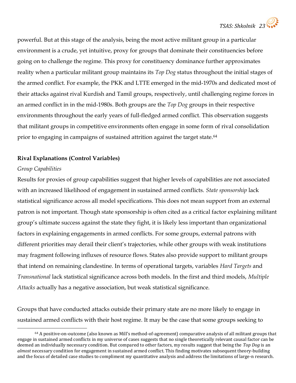powerful. But at this stage of the analysis, being the most active militant group in a particular environment is a crude, yet intuitive, proxy for groups that dominate their constituencies before going on to challenge the regime. This proxy for constituency dominance further approximates reality when a particular militant group maintains its Top Dog status throughout the initial stages of the armed conflict. For example, the PKK and LTTE emerged in the mid-1970s and dedicated most of their attacks against rival Kurdish and Tamil groups, respectively, until challenging regime forces in an armed conflict in in the mid-1980s. Both groups are the Top Dog groups in their respective environments throughout the early years of full-fledged armed conflict. This observation suggests that militant groups in competitive environments often engage in some form of rival consolidation prior to engaging in campaigns of sustained attrition against the target state.<sup>64</sup>

# Rival Explanations (Control Variables)

# Group Capabilities

l

Results for proxies of group capabilities suggest that higher levels of capabilities are not associated with an increased likelihood of engagement in sustained armed conflicts. State sponsorship lack statistical significance across all model specifications. This does not mean support from an external patron is not important. Though state sponsorship is often cited as a critical factor explaining militant group's ultimate success against the state they fight, it is likely less important than organizational factors in explaining engagements in armed conflicts. For some groups, external patrons with different priorities may derail their client's trajectories, while other groups with weak institutions may fragment following influxes of resource flows. States also provide support to militant groups that intend on remaining clandestine. In terms of operational targets, variables Hard Targets and Transnational lack statistical significance across both models. In the first and third models, Multiple Attacks actually has a negative association, but weak statistical significance.

Groups that have conducted attacks outside their primary state are no more likely to engage in sustained armed conflicts with their host regime. It may be the case that some groups seeking to

<sup>64</sup> A positive-on-outcome (also known as Mill's method-of-agreement) comparative analysis of all militant groups that engage in sustained armed conflicts in my universe of cases suggests that no single theoretically relevant causal factor can be deemed an individually necessary condition. But compared to other factors, my results suggest that being the Top Dog is an almost necessary condition for engagement in sustained armed conflict. This finding motivates subsequent theory-building and the focus of detailed case studies to compliment my quantitative analysis and address the limitations of large-n research.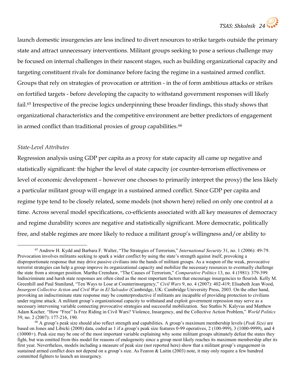launch domestic insurgencies are less inclined to divert resources to strike targets outside the primary state and attract unnecessary interventions. Militant groups seeking to pose a serious challenge may be focused on internal challenges in their nascent stages, such as building organizational capacity and targeting constituent rivals for dominance before facing the regime in a sustained armed conflict. Groups that rely on strategies of provocation or attrition - in the of form ambitious attacks or strikes on fortified targets - before developing the capacity to withstand government responses will likely fail.65 Irrespective of the precise logics underpinning these broader findings, this study shows that organizational characteristics and the competitive environment are better predictors of engagement in armed conflict than traditional proxies of group capabilities.<sup>66</sup>

#### State-Level Attributes

l

Regression analysis using GDP per capita as a proxy for state capacity all came up negative and statistically significant: the higher the level of state capacity (or counter-terrorism effectiveness or level of economic development – however one chooses to primarily interpret the proxy) the less likely a particular militant group will engage in a sustained armed conflict. Since GDP per capita and regime type tend to be closely related, some models (not shown here) relied on only one control at a time. Across several model specifications, co-efficients associated with all key measures of democracy and regime durability scores are negative and statistically significant. More democratic, politically free, and stable regimes are more likely to reduce a militant group's willingness and/or ability to

<sup>&</sup>lt;sup>65</sup> Andrew H. Kydd and Barbara F. Walter, "The Strategies of Terrorism," International Security 31, no. 1 (2006): 49-79. Provocation involves militants seeking to spark a wider conflict by using the state's strength against itself, provoking a disproportionate response that may drive passive civilians into the hands of militant groups. As a weapon of the weak, provocative terrorist strategies can help a group improve its organizational capacity and mobilize the necessary resources to eventually challenge the state from a stronger position. Martha Crenshaw, "The Causes of Terrorism," Comparative Politics 13, no. 4 (1981): 379-399. Indiscriminate and harsh state responses are often cited as the most important factors that encourage insurgencies to flourish. Kelly M. Greenhill and Paul Staniland, "Ten Ways to Lose at Counterinsurgency," Civil Wars 9, no. 4 (2007): 402-419; Elisabeth Jean Wood, Insurgent Collective Action and Civil War in El Salvador (Cambridge, UK: Cambridge University Press, 2003. On the other hand, provoking an indiscriminate state response may be counterproductive if militants are incapable of providing protection to civilians under regime attack. A militant group's organizational capacity to withstand and exploit government repression may serve as a necessary intervening variable connecting provocative strategies and successful mobilization. See Stathis N. Kalyvas and Matthew Adam Kocher, "How "Free" Is Free Riding in Civil Wars? Violence, Insurgency, and the Collective Action Problem," World Politics 59, no. 2 (2007): 177-216, 190.

<sup>&</sup>lt;sup>66</sup> A group's peak size should also reflect strength and capabilities. A group's maximum membership levels (*Peak Size*) are based on Jones and Libicki (2008) data, coded as 1 if a group's peak size features 0-99 operatives, 2 (100-999), 3 (1000-9999), and 4 (10000+). Peak size may be one of the most important variable explaining why some militant groups ultimately defeat the states they fight, but was omitted from this model for reasons of endogeneity since a group most likely reaches its maximum membership after its first year. Nevertheless, models including a measure of peak size (not reported here) show that a militant group's engagement in sustained armed conflict does not depend on a group's size. As Fearon & Laitin (2003) note, it may only require a few hundred committed fighters to launch an insurgency.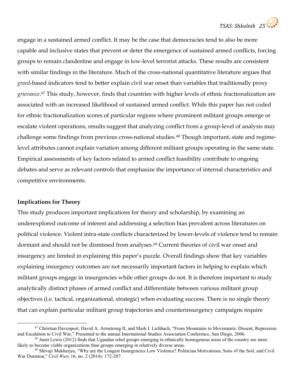engage in a sustained armed conflict. It may be the case that democracies tend to also be more capable and inclusive states that prevent or deter the emergence of sustained armed conflicts, forcing groups to remain clandestine and engage in low-level terrorist attacks. These results are consistent with similar findings in the literature. Much of the cross-national quantitative literature argues that greed-based indicators tend to better explain civil war onset than variables that traditionally proxy grievance.<sup>67</sup> This study, however, finds that countries with higher levels of ethnic fractionalization are associated with an increased likelihood of sustained armed conflict. While this paper has not coded for ethnic fractionalization scores of particular regions where prominent militant groups emerge or escalate violent operations, results suggest that analyzing conflict from a group-level of analysis may challenge some findings from previous cross-national studies.<sup>68</sup> Though important, state and regimelevel attributes cannot explain variation among different militant groups operating in the same state. Empirical assessments of key factors related to armed conflict feasibility contribute to ongoing debates and serve as relevant controls that emphasize the importance of internal characteristics and competitive environments.

# Implications for Theory

l

This study produces important implications for theory and scholarship, by examining an underexplored outcome of interest and addressing a selection bias prevalent across literatures on political violence. Violent intra-state conflicts characterized by lower-levels of violence tend to remain dormant and should not be dismissed from analyses.<sup>69</sup> Current theories of civil war onset and insurgency are limited in explaining this paper's puzzle. Overall findings show that key variables explaining insurgency outcomes are not necessarily important factors in helping to explain which militant groups engage in insurgencies while other groups do not. It is therefore important to study analytically distinct phases of armed conflict and differentiate between various militant group objectives (i.e. tactical, organizational, strategic) when evaluating success. There is no single theory that can explain particular militant group trajectories and counterinsurgency campaigns require

<sup>67</sup> Christian Davenport, David A. Armstrong II, and Mark I. Lichbach, "From Mountains to Movements: Dissent, Repression and Escalation to Civil War," Presented to the annual International Studies Association Conference, San Diego, 2006.

<sup>68</sup> Janet Lewis (2012) finds that Ugandan rebel groups emerging in ethnically homogenous areas of the country are more likely to become viable organizations than groups emerging in relatively diverse areas.

<sup>69</sup> Shivaji Mukherjee, "Why are the Longest Insurgencies Low Violence? Politician Motivations, Sons of the Soil, and Civil War Duration," Civil Wars 16, no. 2 (2014): 172-207.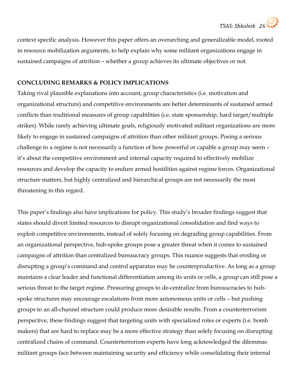context specific analysis. However this paper offers an overarching and generalizable model, rooted in resource mobilization arguments, to help explain why some militant organizations engage in sustained campaigns of attrition – whether a group achieves its ultimate objectives or not.

# CONCLUDING REMARKS & POLICY IMPLICATIONS

Taking rival plausible explanations into account, group characteristics (i.e. motivation and organizational structure) and competitive environments are better determinants of sustained armed conflicts than traditional measures of group capabilities (i.e. state sponsorship, hard target/multiple strikes). While rarely achieving ultimate goals, religiously motivated militant organizations are more likely to engage in sustained campaigns of attrition than other militant groups. Posing a serious challenge to a regime is not necessarily a function of how powerful or capable a group may seem – it's about the competitive environment and internal capacity required to effectively mobilize resources and develop the capacity to endure armed hostilities against regime forces. Organizational structure matters, but highly centralized and hierarchical groups are not necessarily the most threatening in this regard.

This paper's findings also have implications for policy. This study's broader findings suggest that states should divert limited resources to disrupt organizational consolidation and find ways to exploit competitive environments, instead of solely focusing on degrading group capabilities. From an organizational perspective, hub-spoke groups pose a greater threat when it comes to sustained campaigns of attrition than centralized bureaucracy groups. This nuance suggests that eroding or disrupting a group's command and control apparatus may be counterproductive. As long as a group maintains a clear leader and functional differentiation among its units or cells, a group can still pose a serious threat to the target regime. Pressuring groups to de-centralize from bureaucracies to hubspoke structures may encourage escalations from more autonomous units or cells – but pushing groups to an all-channel structure could produce more desirable results. From a counterterrorism perspective, these findings suggest that targeting units with specialized roles or experts (i.e. bomb makers) that are hard to replace may be a more effective strategy than solely focusing on disrupting centralized chains of command. Counterterrorism experts have long acknowledged the dilemmas militant groups face between maintaining security and efficiency while consolidating their internal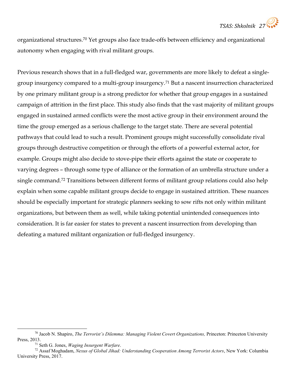organizational structures.70 Yet groups also face trade-offs between efficiency and organizational autonomy when engaging with rival militant groups.

Previous research shows that in a full-fledged war, governments are more likely to defeat a singlegroup insurgency compared to a multi-group insurgency.71 But a nascent insurrection characterized by one primary militant group is a strong predictor for whether that group engages in a sustained campaign of attrition in the first place. This study also finds that the vast majority of militant groups engaged in sustained armed conflicts were the most active group in their environment around the time the group emerged as a serious challenge to the target state. There are several potential pathways that could lead to such a result. Prominent groups might successfully consolidate rival groups through destructive competition or through the efforts of a powerful external actor, for example. Groups might also decide to stove-pipe their efforts against the state or cooperate to varying degrees – through some type of alliance or the formation of an umbrella structure under a single command.72 Transitions between different forms of militant group relations could also help explain when some capable militant groups decide to engage in sustained attrition. These nuances should be especially important for strategic planners seeking to sow rifts not only within militant organizations, but between them as well, while taking potential unintended consequences into consideration. It is far easier for states to prevent a nascent insurrection from developing than defeating a matured militant organization or full-fledged insurgency.

 $70$  Jacob N. Shapiro, The Terrorist's Dilemma: Managing Violent Covert Organizations, Princeton: Princeton University Press, 2013.

 $71$  Seth G. Jones, Waging Insurgent Warfare.

<sup>72</sup> Assaf Moghadam, Nexus of Global Jihad: Understanding Cooperation Among Terrorist Actors, New York: Columbia University Press, 2017.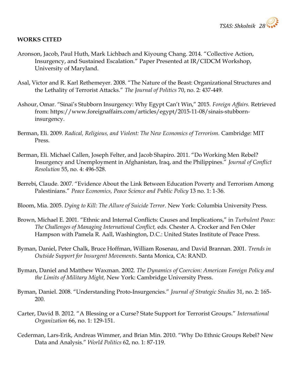# WORKS CITED

- Aronson, Jacob, Paul Huth, Mark Lichbach and Kiyoung Chang. 2014. "Collective Action, Insurgency, and Sustained Escalation." Paper Presented at IR/CIDCM Workshop, University of Maryland.
- Asal, Victor and R. Karl Rethemeyer. 2008. "The Nature of the Beast: Organizational Structures and the Lethality of Terrorist Attacks." The Journal of Politics 70, no. 2: 437-449.
- Ashour, Omar. "Sinai's Stubborn Insurgency: Why Egypt Can't Win," 2015. Foreign Affairs. Retrieved from: https://www.foreignaffairs.com/articles/egypt/2015-11-08/sinais-stubborninsurgency.
- Berman, Eli. 2009. Radical, Religious, and Violent: The New Economics of Terrorism. Cambridge: MIT Press.
- Berman, Eli. Michael Callen, Joseph Felter, and Jacob Shapiro. 2011. "Do Working Men Rebel? Insurgency and Unemployment in Afghanistan, Iraq, and the Philippines." Journal of Conflict Resolution 55, no. 4: 496-528.
- Berrebi, Claude. 2007. "Evidence About the Link Between Education Poverty and Terrorism Among Palestinians." Peace Economics, Peace Science and Public Policy 13 no. 1: 1-36.
- Bloom, Mia. 2005. Dying to Kill: The Allure of Suicide Terror. New York: Columbia University Press.
- Brown, Michael E. 2001. "Ethnic and Internal Conflicts: Causes and Implications," in Turbulent Peace: The Challenges of Managing International Conflict, eds. Chester A. Crocker and Fen Osler Hampson with Pamela R. Aall, Washington, D.C.: United States Institute of Peace Press.
- Byman, Daniel, Peter Chalk, Bruce Hoffman, William Rosenau, and David Brannan. 2001. Trends in Outside Support for Insurgent Movements. Santa Monica, CA: RAND.
- Byman, Daniel and Matthew Waxman. 2002. The Dynamics of Coercion: American Foreign Policy and the Limits of Military Might, New York: Cambridge University Press.
- Byman, Daniel. 2008. "Understanding Proto-Insurgencies." Journal of Strategic Studies 31, no. 2: 165- 200.
- Carter, David B. 2012. "A Blessing or a Curse? State Support for Terrorist Groups." International Organization 66, no. 1: 129-151.
- Cederman, Lars-Erik, Andreas Wimmer, and Brian Min. 2010. "Why Do Ethnic Groups Rebel? New Data and Analysis." World Politics 62, no. 1: 87-119.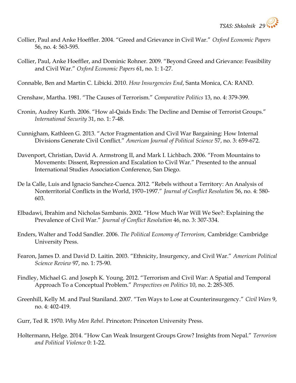- Collier, Paul and Anke Hoeffler. 2004. "Greed and Grievance in Civil War." Oxford Economic Papers 56, no. 4: 563-595.
- Collier, Paul, Anke Hoeffler, and Dominic Rohner. 2009. "Beyond Greed and Grievance: Feasibility and Civil War." Oxford Economic Papers 61, no. 1: 1-27.
- Connable, Ben and Martin C. Libicki. 2010. How Insurgencies End, Santa Monica, CA: RAND.
- Crenshaw, Martha. 1981. "The Causes of Terrorism." Comparative Politics 13, no. 4: 379-399.
- Cronin, Audrey Kurth. 2006. "How al-Qaids Ends: The Decline and Demise of Terrorist Groups." International Security 31, no. 1: 7-48.
- Cunnigham, Kathleen G. 2013. "Actor Fragmentation and Civil War Bargaining: How Internal Divisions Generate Civil Conflict." American Journal of Political Science 57, no. 3: 659-672.
- Davenport, Christian, David A. Armstrong II, and Mark I. Lichbach. 2006. "From Mountains to Movements: Dissent, Repression and Escalation to Civil War." Presented to the annual International Studies Association Conference, San Diego.
- De la Calle, Luis and Ignacio Sanchez-Cuenca. 2012. "Rebels without a Territory: An Analysis of Nonterritorial Conflicts in the World, 1970–1997." Journal of Conflict Resolution 56, no. 4: 580- 603.
- Elbadawi, Ibrahim and Nicholas Sambanis. 2002. "How Much War Will We See?: Explaining the Prevalence of Civil War." Journal of Conflict Resolution 46, no. 3: 307-334.
- Enders, Walter and Todd Sandler. 2006. The Political Economy of Terrorism, Cambridge: Cambridge University Press.
- Fearon, James D. and David D. Laitin. 2003. "Ethnicity, Insurgency, and Civil War." American Political Science Review 97, no. 1: 75-90.
- Findley, Michael G. and Joseph K. Young. 2012. "Terrorism and Civil War: A Spatial and Temporal Approach To a Conceptual Problem." Perspectives on Politics 10, no. 2: 285-305.
- Greenhill, Kelly M. and Paul Staniland. 2007. "Ten Ways to Lose at Counterinsurgency." Civil Wars 9, no. 4: 402-419.
- Gurr, Ted R. 1970. Why Men Rebel. Princeton: Princeton University Press.
- Holtermann, Helge. 2014. "How Can Weak Insurgent Groups Grow? Insights from Nepal." Terrorism and Political Violence 0: 1-22.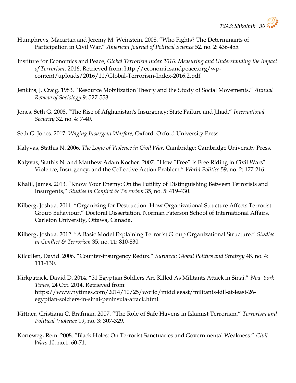- Humphreys, Macartan and Jeremy M. Weinstein. 2008. "Who Fights? The Determinants of Participation in Civil War." American Journal of Political Science 52, no. 2: 436-455.
- Institute for Economics and Peace, Global Terrorism Index 2016: Measuring and Understanding the Impact of Terrorism. 2016. Retrieved from: http://economicsandpeace.org/wpcontent/uploads/2016/11/Global-Terrorism-Index-2016.2.pdf.
- Jenkins, J. Craig. 1983. "Resource Mobilization Theory and the Study of Social Movements." Annual Review of Sociology 9: 527-553.
- Jones, Seth G. 2008. "The Rise of Afghanistan's Insurgency: State Failure and Jihad." International Security 32, no. 4: 7-40.
- Seth G. Jones. 2017. Waging Insurgent Warfare, Oxford: Oxford University Press.
- Kalyvas, Stathis N. 2006. The Logic of Violence in Civil War. Cambridge: Cambridge University Press.
- Kalyvas, Stathis N. and Matthew Adam Kocher. 2007. "How "Free" Is Free Riding in Civil Wars? Violence, Insurgency, and the Collective Action Problem." World Politics 59, no. 2: 177-216.
- Khalil, James. 2013. "Know Your Enemy: On the Futility of Distinguishing Between Terrorists and Insurgents," Studies in Conflict & Terrorism 35, no. 5: 419-430.
- Kilberg, Joshua. 2011. "Organizing for Destruction: How Organizational Structure Affects Terrorist Group Behaviour." Doctoral Dissertation. Norman Paterson School of International Affairs, Carleton University, Ottawa, Canada.
- Kilberg, Joshua. 2012. "A Basic Model Explaining Terrorist Group Organizational Structure." Studies in Conflict & Terrorism 35, no. 11: 810-830.
- Kilcullen, David. 2006. "Counter-insurgency Redux." Survival: Global Politics and Strategy 48, no. 4: 111-130.
- Kirkpatrick, David D. 2014. "31 Egyptian Soldiers Are Killed As Militants Attack in Sinai." New York Times, 24 Oct. 2014. Retrieved from: https://www.nytimes.com/2014/10/25/world/middleeast/militants-kill-at-least-26 egyptian-soldiers-in-sinai-peninsula-attack.html.
- Kittner, Cristiana C. Brafman. 2007. "The Role of Safe Havens in Islamist Terrorism." Terrorism and Political Violence 19, no. 3: 307-329.
- Korteweg, Rem. 2008. "Black Holes: On Terrorist Sanctuaries and Governmental Weakness." Civil Wars 10, no.1: 60-71.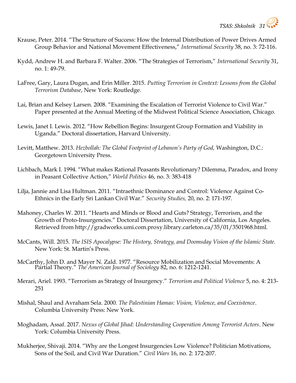

- Krause, Peter. 2014. "The Structure of Success: How the Internal Distribution of Power Drives Armed Group Behavior and National Movement Effectiveness," International Security 38, no. 3: 72-116.
- Kydd, Andrew H. and Barbara F. Walter. 2006. "The Strategies of Terrorism," International Security 31, no. 1: 49-79.
- LaFree, Gary, Laura Dugan, and Erin Miller. 2015. Putting Terrorism in Context: Lessons from the Global Terrorism Database, New York: Routledge.
- Lai, Brian and Kelsey Larsen. 2008. "Examining the Escalation of Terrorist Violence to Civil War." Paper presented at the Annual Meeting of the Midwest Political Science Association, Chicago.
- Lewis, Janet I. Lewis. 2012. "How Rebellion Begins: Insurgent Group Formation and Viability in Uganda." Doctoral dissertation, Harvard University.
- Levitt, Matthew. 2013. Hezbollah: The Global Footprint of Lebanon's Party of God, Washington, D.C.: Georgetown University Press.
- Lichbach, Mark I. 1994. "What makes Rational Peasants Revolutionary? Dilemma, Paradox, and Irony in Peasant Collective Action," World Politics 46, no. 3: 383-418
- Lilja, Jannie and Lisa Hultman. 2011. "Intraethnic Dominance and Control: Violence Against Co-Ethnics in the Early Sri Lankan Civil War." Security Studies, 20, no. 2: 171-197.
- Mahoney, Charles W. 2011. "Hearts and Minds or Blood and Guts? Strategy, Terrorism, and the Growth of Proto-Insurgencies." Doctoral Dissertation, University of California, Los Angeles. Retrieved from http://gradworks.umi.com.proxy.library.carleton.ca/35/01/3501968.html.
- McCants, Will. 2015. The ISIS Apocalypse: The History, Strategy, and Doomsday Vision of the Islamic State. New York: St. Martin's Press.
- McCarthy, John D. and Mayer N. Zald. 1977. "Resource Mobilization and Social Movements: A Partial Theory." The American Journal of Sociology 82, no. 6: 1212-1241.
- Merari, Ariel. 1993. "Terrorism as Strategy of Insurgency." Terrorism and Political Violence 5, no. 4: 213- 251
- Mishal, Shaul and Avraham Sela. 2000. The Palestinian Hamas: Vision, Violence, and Coexistence. Columbia University Press: New York.
- Moghadam, Assaf. 2017. Nexus of Global Jihad: Understanding Cooperation Among Terrorist Actors. New York: Columbia University Press.
- Mukherjee, Shivaji. 2014. "Why are the Longest Insurgencies Low Violence? Politician Motivations, Sons of the Soil, and Civil War Duration." Civil Wars 16, no. 2: 172-207.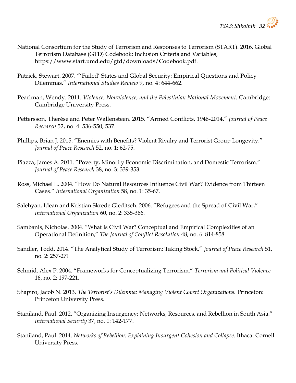

- National Consortium for the Study of Terrorism and Responses to Terrorism (START). 2016. Global Terrorism Database (GTD) Codebook: Inclusion Criteria and Variables, https://www.start.umd.edu/gtd/downloads/Codebook.pdf.
- Patrick, Stewart. 2007. "'Failed' States and Global Security: Empirical Questions and Policy Dilemmas." International Studies Review 9, no. 4: 644-662.
- Pearlman, Wendy. 2011. Violence, Nonviolence, and the Palestinian National Movement. Cambridge: Cambridge University Press.
- Pettersson, Therése and Peter Wallensteen. 2015. "Armed Conflicts, 1946-2014." Journal of Peace Research 52, no. 4: 536-550, 537.
- Phillips, Brian J. 2015. "Enemies with Benefits? Violent Rivalry and Terrorist Group Longevity." Journal of Peace Research 52, no. 1: 62-75.
- Piazza, James A. 2011. "Poverty, Minority Economic Discrimination, and Domestic Terrorism." Journal of Peace Research 38, no. 3: 339-353.
- Ross, Michael L. 2004. "How Do Natural Resources Influence Civil War? Evidence from Thirteen Cases." International Organization 58, no. 1: 35-67.
- Salehyan, Idean and Kristian Skrede Gleditsch. 2006. "Refugees and the Spread of Civil War," International Organization 60, no. 2: 335-366.
- Sambanis, Nicholas. 2004. "What Is Civil War? Conceptual and Empirical Complexities of an Operational Definition," The Journal of Conflict Resolution 48, no. 6: 814-858
- Sandler, Todd. 2014. "The Analytical Study of Terrorism: Taking Stock," Journal of Peace Research 51, no. 2: 257-271
- Schmid, Alex P. 2004. "Frameworks for Conceptualizing Terrorism," Terrorism and Political Violence 16, no. 2: 197-221.
- Shapiro, Jacob N. 2013. The Terrorist's Dilemma: Managing Violent Covert Organizations. Princeton: Princeton University Press.
- Staniland, Paul. 2012. "Organizing Insurgency: Networks, Resources, and Rebellion in South Asia." International Security 37, no. 1: 142-177.
- Staniland, Paul. 2014. Networks of Rebellion: Explaining Insurgent Cohesion and Collapse. Ithaca: Cornell University Press.